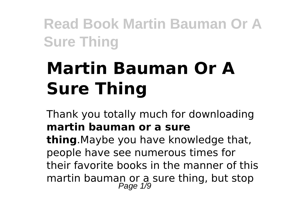# **Martin Bauman Or A Sure Thing**

Thank you totally much for downloading **martin bauman or a sure thing**.Maybe you have knowledge that, people have see numerous times for their favorite books in the manner of this martin bauman or a sure thing, but stop<br>Page 1/9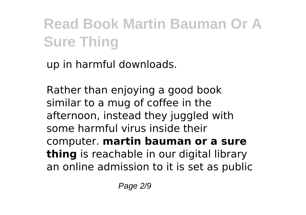up in harmful downloads.

Rather than enjoying a good book similar to a mug of coffee in the afternoon, instead they juggled with some harmful virus inside their computer. **martin bauman or a sure thing** is reachable in our digital library an online admission to it is set as public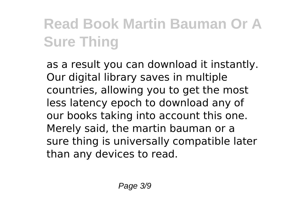as a result you can download it instantly. Our digital library saves in multiple countries, allowing you to get the most less latency epoch to download any of our books taking into account this one. Merely said, the martin bauman or a sure thing is universally compatible later than any devices to read.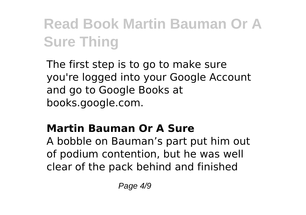The first step is to go to make sure you're logged into your Google Account and go to Google Books at books.google.com.

### **Martin Bauman Or A Sure**

A bobble on Bauman's part put him out of podium contention, but he was well clear of the pack behind and finished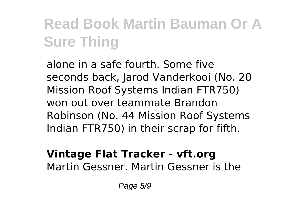alone in a safe fourth. Some five seconds back, Jarod Vanderkooi (No. 20 Mission Roof Systems Indian FTR750) won out over teammate Brandon Robinson (No. 44 Mission Roof Systems Indian FTR750) in their scrap for fifth.

#### **Vintage Flat Tracker - vft.org** Martin Gessner. Martin Gessner is the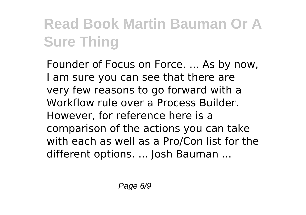Founder of Focus on Force. ... As by now, I am sure you can see that there are very few reasons to go forward with a Workflow rule over a Process Builder. However, for reference here is a comparison of the actions you can take with each as well as a Pro/Con list for the different options. ... Josh Bauman ...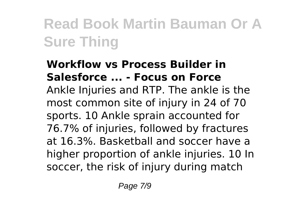#### **Workflow vs Process Builder in Salesforce ... - Focus on Force** Ankle Injuries and RTP. The ankle is the most common site of injury in 24 of 70 sports. 10 Ankle sprain accounted for 76.7% of injuries, followed by fractures at 16.3%. Basketball and soccer have a higher proportion of ankle injuries. 10 In soccer, the risk of injury during match